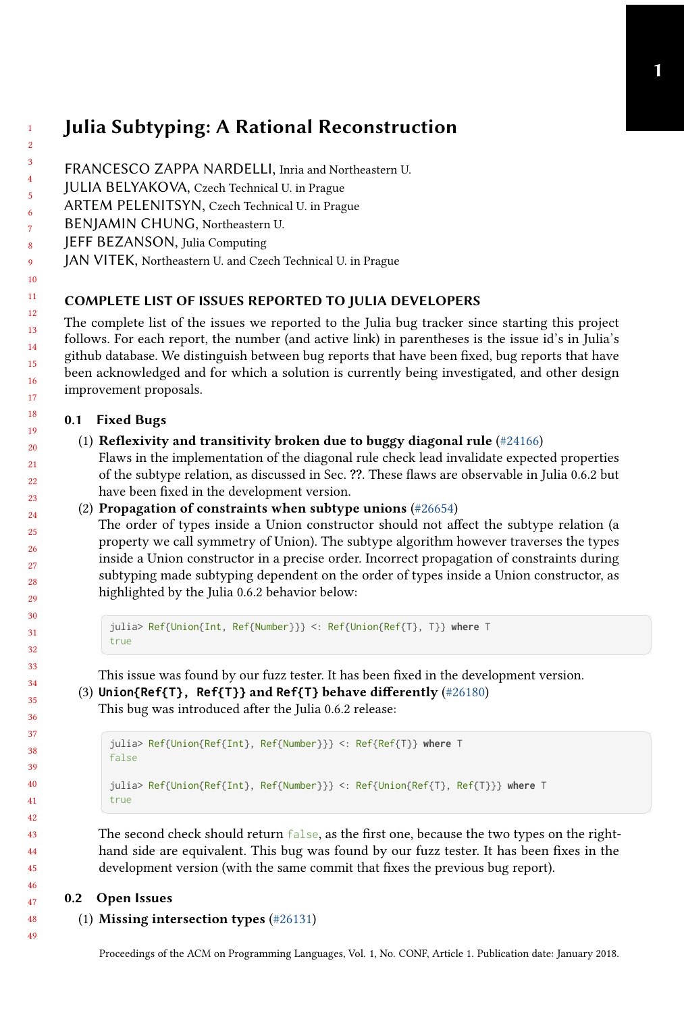# Julia Subtyping: A Rational Reconstruction

- FRANCESCO ZAPPA NARDELLI, Inria and Northeastern U.
- JULIA BELYAKOVA, Czech Technical U. in Prague
- ARTEM PELENITSYN, Czech Technical U. in Prague
- BENJAMIN CHUNG, Northeastern U.
- JEFF BEZANSON, Julia Computing
- JAN VITEK, Northeastern U. and Czech Technical U. in Prague

# COMPLETE LIST OF ISSUES REPORTED TO JULIA DEVELOPERS

The complete list of the issues we reported to the Julia bug tracker since starting this project follows. For each report, the number (and active link) in parentheses is the issue id's in Julia's github database. We distinguish between bug reports that have been fixed, bug reports that have been acknowledged and for which a solution is currently being investigated, and other design improvement proposals.

## 0.1 Fixed Bugs

## (1) Reflexivity and transitivity broken due to buggy diagonal rule  $(\text{\#24166})$

Flaws in the implementation of the diagonal rule check lead invalidate expected properties of the subtype relation, as discussed in Sec. ??. These flaws are observable in Julia 0.6.2 but have been fixed in the development version.

### (2) Propagation of constraints when subtype unions [\(#26654\)](https://github.com/JuliaLang/julia/issues/26654)

The order of types inside a Union constructor should not affect the subtype relation (a property we call symmetry of Union). The subtype algorithm however traverses the types inside a Union constructor in a precise order. Incorrect propagation of constraints during subtyping made subtyping dependent on the order of types inside a Union constructor, as highlighted by the Julia 0.6.2 behavior below:

```
julia> Ref{Union{Int, Ref{Number}}} <: Ref{Union{Ref{T}, T}} where T
true
```
This issue was found by our fuzz tester. It has been fixed in the development version.

(3) **Union{Ref{T}, Ref{T}}** and **Ref{T}** behave differently [\(#26180\)](https://github.com/JuliaLang/julia/issues/26180)

This bug was introduced after the Julia 0.6.2 release:

```
julia> Ref{Union{Ref{Int}, Ref{Number}}} <: Ref{Ref{T}} where T
false
julia> Ref{Union{Ref{Int}, Ref{Number}}} <: Ref{Union{Ref{T}, Ref{T}}} where T
true
```
The second check should return false, as the first one, because the two types on the righthand side are equivalent. This bug was found by our fuzz tester. It has been fixes in the development version (with the same commit that fixes the previous bug report).

### 0.2 Open Issues

### (1) Missing intersection types [\(#26131\)](https://github.com/JuliaLang/julia/issues/26131)

48 49

Proceedings of the ACM on Programming Languages, Vol. 1, No. CONF, Article 1. Publication date: January 2018.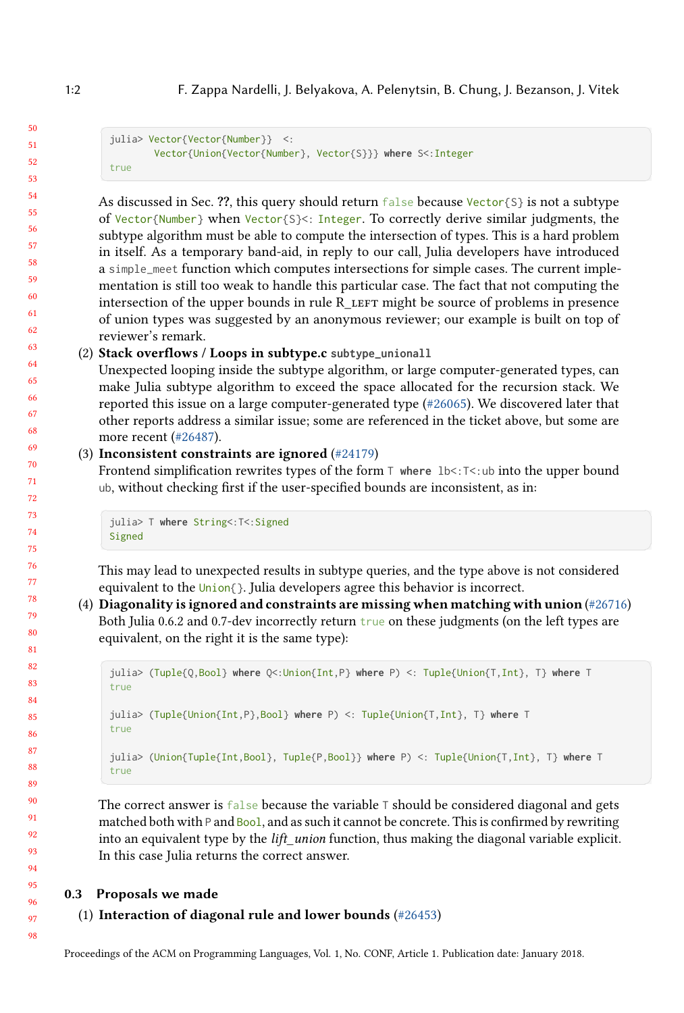1:2 F. Zappa Nardelli, J. Belyakova, A. Pelenytsin, B. Chung, J. Bezanson, J. Vitek

```
julia> Vector{Vector{Number}} <:
       Vector{Union{Vector{Number}, Vector{S}}} where S<:Integer
true
```
As discussed in Sec. ??, this query should return false because Vector{S} is not a subtype of Vector{Number} when Vector{S}<: Integer. To correctly derive similar judgments, the subtype algorithm must be able to compute the intersection of types. This is a hard problem in itself. As a temporary band-aid, in reply to our call, Julia developers have introduced a simple\_meet function which computes intersections for simple cases. The current implementation is still too weak to handle this particular case. The fact that not computing the intersection of the upper bounds in rule  $R$  LEFT might be source of problems in presence of union types was suggested by an anonymous reviewer; our example is built on top of reviewer's remark.

#### (2) Stack overflows / Loops in subtype.c **subtype\_unionall**

Unexpected looping inside the subtype algorithm, or large computer-generated types, can make Julia subtype algorithm to exceed the space allocated for the recursion stack. We reported this issue on a large computer-generated type [\(#26065\)](https://github.com/JuliaLang/julia/issues/26065). We discovered later that other reports address a similar issue; some are referenced in the ticket above, but some are more recent [\(#26487\)](https://github.com/JuliaLang/julia/issues/26487).

#### (3) Inconsistent constraints are ignored [\(#24179\)](https://github.com/JuliaLang/julia/issues/24179)

Frontend simplification rewrites types of the form T **where** lb<:T<:ub into the upper bound ub, without checking first if the user-specified bounds are inconsistent, as in:

julia> T **where** String<:T<:Signed Signed

This may lead to unexpected results in subtype queries, and the type above is not considered equivalent to the Union{}. Julia developers agree this behavior is incorrect.

(4) Diagonality is ignored and constraints are missing when matching with union  $(\#26716)$ Both Julia 0.6.2 and 0.7-dev incorrectly return true on these judgments (on the left types are equivalent, on the right it is the same type):

```
✞ ☎
julia> (Tuple{Q,Bool} where Q<:Union{Int,P} where P) <: Tuple{Union{T,Int}, T} where T
 true
 julia> (Tuple{Union{Int,P},Bool} where P) <: Tuple{Union{T,Int}, T} where T
 true
 julia> (Union{Tuple{Int,Bool}, Tuple{P,Bool}} where P) <: Tuple{Union{T,Int}, T} where T
 true
```
The correct answer is  $false$  because the variable  $\top$  should be considered diagonal and gets matched both with P and Bool, and as such it cannot be concrete. This is confirmed by rewriting into an equivalent type by the *lift* union function, thus making the diagonal variable explicit. In this case Julia returns the correct answer.

#### 0.3 Proposals we made

# (1) Interaction of diagonal rule and lower bounds [\(#26453\)](https://github.com/JuliaLang/julia/issues/26453)